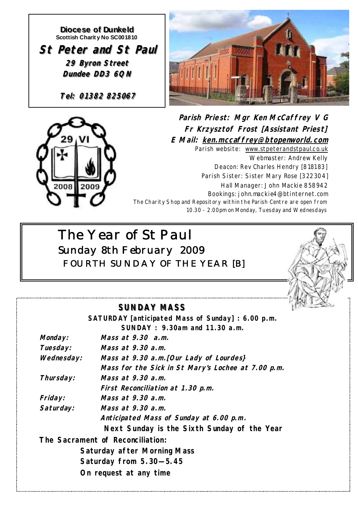**Diocese of Dunkeld Diocese of Dunkeld Scottish Charit y No SC001810 St Peter and St Paul St Peter and St Paul 29 Byron Street 29 Byron Street Dundee DD3 6QN Dundee DD3 6QN**

**Tel: 01382 825067 Tel: 01382 825067 Tel: 01382 825067**





*Parish Priest: Mgr Ken McCaffrey V G* **Fr Krzysztof Frost [Assistant Priest] E M ail: ken.mccaffrey@btopenworld.com** Parish website: www.stpeterandstpaul.co.uk Webmaster: Andrew Kelly Deacon: Rev Charles Hendry [818183] Parish Sister: Sister Mary Rose [322304] Hall Manager: John Mackie 858942 Bookings: john.mackie4@btinternet.com The Charity Shop and Repository within the Parish Centre are open from 10.30 - 2.00pm on Monday, Tuesday and Wednesdays

# *The Year of St Paul Sunday 8th February 2009 FOURTH SUNDAY OF THE YEAR [B]*



## **SUNDAY MASS SUNDAY MASS**

|                | SATURDAY [anticipated Mass of Sunday] : 6.00 p.m.<br>SUNDAY: 9.30am and 11.30 a.m. |
|----------------|------------------------------------------------------------------------------------|
| Monday:        | Mass at $9.30$ a.m.                                                                |
| Tuesday:       | Mass at 9.30 a.m.                                                                  |
|                |                                                                                    |
| Wednesday:     | Mass at 9.30 a.m. [Our Lady of Lourdes]                                            |
|                | Mass for the Sick in St Mary's Lochee at 7.00 p.m.                                 |
| Thursday:      | Mass at $9.30$ a.m.                                                                |
|                | First Reconciliation at 1.30 p.m.                                                  |
| <i>Friday:</i> | Mass at $9.30$ a.m.                                                                |
| Saturday:      | Mass at 9.30 a.m.                                                                  |
|                | Anticipated Mass of Sunday at 6.00 p.m.                                            |
|                | Next Sunday is the Sixth Sunday of the Year                                        |
|                | The Sacrament of Reconciliation:                                                   |
|                | Saturday after Morning Mass                                                        |
|                | Saturday from 5.30-5.45                                                            |
|                | On request at any time                                                             |
|                |                                                                                    |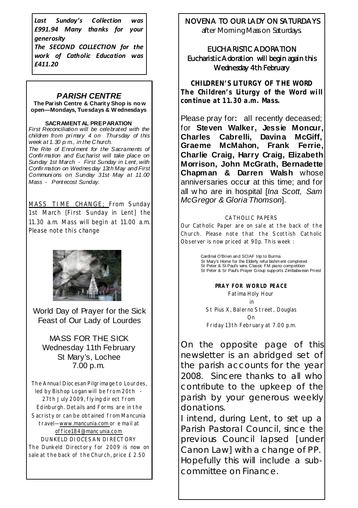*Last Sunday's Collection was £991.94 Many thanks for your generosity*

*The SECOND COLLECTION for the work of Catholic Education was £411.20*

#### *PARISH CENTRE*

**The Parish Centre & Charit y Shop is no w open—Mondays, Tuesdays & W ednesdays** 

#### **SACRAMENT AL PREPARATION**

*First Reconciliation will be celebrated with the children from pri mary 4 on Thursday of this week at 1.30 p.m., in the C hurch. The Rite of Enrol ment for the Sacraments of Confir mation and Eucharist will take place on Sunday 1st March - First Sunday in Lent, with Confir mation on Wednesday 13th May and First Communi ons on Sunday 31st May at 11.00 Mass - Pentecost Sunday.* 

MASS TIME CHANGE; From Sunday 1st March [First Sunday in Lent] the 11.30 a.m. Mass will begin at 11.00 a.m. Please note this change



World Day of Prayer for the Sick Feast of Our Lady of Lourdes

MASS FOR THE SICK Wednesday 11th February St Mary's, Lochee 7.00 p.m.

The Annual Diocesan Pilgrimage to Lourdes, led by Bishop Logan will be from 20th 27th July 2009, flying direct from Edinburgh. Details and Forms are in the Sacristy or can be obtained from Mancunia travel—www.mancunia.com or e mail at office184@mancunia.com DUNKELD DIOCESAN DIRECTORY The Dunkeld Directory for 2009 is now on sale at the back of the Church, price £2.50

## NOVENA TO OUR LADY ON SATURDAYS

after Morning Mass on Saturdays.

### EUCHARISTIC ADORATION Eucharistic Adoration will begin again this Wednesday 4th February

*CHILDREN'S LITURGY OF THE WORD The Children's Liturgy of the Word will continue at 11.30 a.m. Mass.* 

Please pray for**:** all recently deceased; for **Steven Walker, Jessie Moncur, Charles Cabrelli, Davina McGiff, Graeme McMahon, Frank Ferrie, Charlie Craig, Harry Craig, Elizabeth Morrison, John McGrath, Bernadette Chapman & Darren Walsh** whose anniversaries occur at this time; and for all w ho are in hospital [*Ina Scott, Sam McGregor & Gloria Thomson*].

#### CATHOLIC PAPERS

Our Catholic Paper are on sale at the back of the Church. Please note that the Scottish Catholic Observer is now priced at 90p. This week :

 Cardinal O'Brien and SCIAF trip to Burma St Mary's Home for the Elderly refur bishm ent completed St Peter & St Paul's wins Classic FM piano competition St Peter & Sr Paul's Prayer Group supports Zimbabwean Priest

> **PRAY FOR WORLD PEACE**  Fatima Holy Hour in St Pius X, Balerno Street, Douglas On Friday 13th February at 7.00 p.m.

On the opposite page of this newsletter is an abridged set of the parish accounts for the year 2008. Sincere thanks to all who contribute to the upkeep of the parish by your generous weekly donations.

I intend, during Lent, to set up a Parish Pastoral Council, since the previous Council lapsed [under Canon Law] with a change of PP. Hopefully this will include a subcommittee on Finance.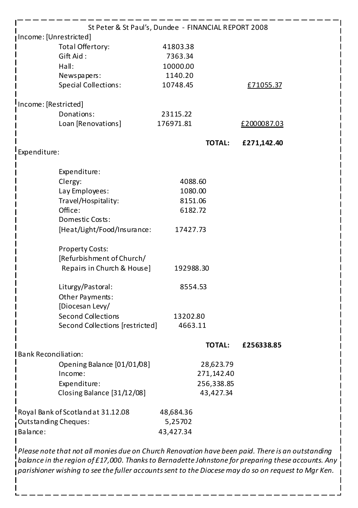|                                    | St Peter & St Paul's, Dundee - FINANCIAL REPORT 2008<br>Income: [Unrestricted] |           |               |             |  |
|------------------------------------|--------------------------------------------------------------------------------|-----------|---------------|-------------|--|
|                                    | Total Offertory:                                                               | 41803.38  |               |             |  |
|                                    | Gift Aid:                                                                      | 7363.34   |               |             |  |
|                                    | Hall:                                                                          | 10000.00  |               |             |  |
|                                    | Newspapers:                                                                    | 1140.20   |               |             |  |
|                                    | <b>Special Collections:</b>                                                    | 10748.45  |               | £71055.37   |  |
|                                    | Income: [Restricted]                                                           |           |               |             |  |
|                                    | Donations:                                                                     | 23115.22  |               |             |  |
|                                    | Loan [Renovations]                                                             | 176971.81 |               | £2000087.03 |  |
|                                    |                                                                                |           | <b>TOTAL:</b> | £271,142.40 |  |
| Expenditure:                       |                                                                                |           |               |             |  |
|                                    | Expenditure:                                                                   |           |               |             |  |
|                                    | Clergy:                                                                        | 4088.60   |               |             |  |
|                                    | Lay Employees:                                                                 | 1080.00   |               |             |  |
|                                    | Travel/Hospitality:                                                            | 8151.06   |               |             |  |
|                                    | Office:                                                                        | 6182.72   |               |             |  |
|                                    | Domestic Costs:                                                                |           |               |             |  |
|                                    | [Heat/Light/Food/Insurance:                                                    | 17427.73  |               |             |  |
|                                    | <b>Property Costs:</b>                                                         |           |               |             |  |
|                                    | [Refurbishment of Church/                                                      |           |               |             |  |
|                                    | Repairs in Church & House]                                                     | 192988.30 |               |             |  |
|                                    | Liturgy/Pastoral:                                                              | 8554.53   |               |             |  |
|                                    | Other Payments:                                                                |           |               |             |  |
|                                    | [Diocesan Levy/                                                                |           |               |             |  |
|                                    | <b>Second Collections</b>                                                      | 13202.80  |               |             |  |
|                                    | Second Collections [restricted]                                                | 4663.11   |               |             |  |
|                                    |                                                                                |           | <b>TOTAL:</b> | £256338.85  |  |
|                                    | <b>I Bank Reconciliation:</b>                                                  |           |               |             |  |
|                                    | Opening Balance [01/01/08]                                                     |           | 28,623.79     |             |  |
|                                    | Income:                                                                        |           | 271,142.40    |             |  |
|                                    | Expenditure:                                                                   |           | 256,338.85    |             |  |
|                                    | Closing Balance [31/12/08]                                                     |           | 43,427.34     |             |  |
| Royal Bank of Scotland at 31.12.08 |                                                                                | 48,684.36 |               |             |  |
| Outstanding Cheques:               |                                                                                | 5,25702   |               |             |  |
| Balance:                           |                                                                                | 43,427.34 |               |             |  |

*balance in the region of £17,000. Thanksto Bernadette Johnstone for preparing these accounts. Any parishioner wishing to see the fuller accountssent to the Diocese may do so on request to Mgr Ken.*